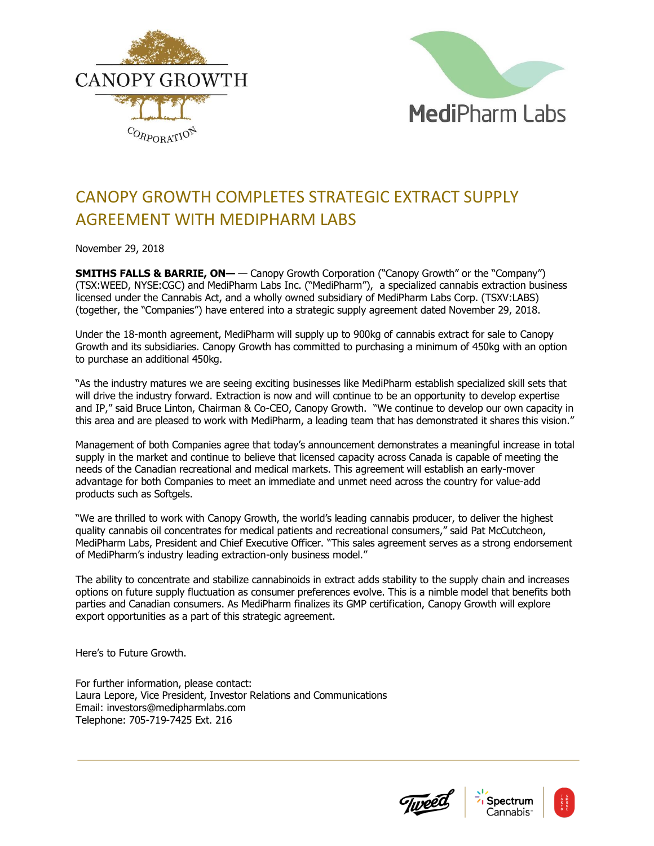



## CANOPY GROWTH COMPLETES STRATEGIC EXTRACT SUPPLY AGREEMENT WITH MEDIPHARM LABS

November 29, 2018

**SMITHS FALLS & BARRIE, ON—** — Canopy Growth Corporation ("Canopy Growth" or the "Company") (TSX:WEED, NYSE:CGC) and MediPharm Labs Inc. ("MediPharm"), a specialized cannabis extraction business licensed under the Cannabis Act, and a wholly owned subsidiary of MediPharm Labs Corp. (TSXV:LABS) (together, the "Companies") have entered into a strategic supply agreement dated November 29, 2018.

Under the 18-month agreement, MediPharm will supply up to 900kg of cannabis extract for sale to Canopy Growth and its subsidiaries. Canopy Growth has committed to purchasing a minimum of 450kg with an option to purchase an additional 450kg.

"As the industry matures we are seeing exciting businesses like MediPharm establish specialized skill sets that will drive the industry forward. Extraction is now and will continue to be an opportunity to develop expertise and IP," said Bruce Linton, Chairman & Co-CEO, Canopy Growth. "We continue to develop our own capacity in this area and are pleased to work with MediPharm, a leading team that has demonstrated it shares this vision."

Management of both Companies agree that today's announcement demonstrates a meaningful increase in total supply in the market and continue to believe that licensed capacity across Canada is capable of meeting the needs of the Canadian recreational and medical markets. This agreement will establish an early-mover advantage for both Companies to meet an immediate and unmet need across the country for value-add products such as Softgels.

"We are thrilled to work with Canopy Growth, the world's leading cannabis producer, to deliver the highest quality cannabis oil concentrates for medical patients and recreational consumers," said Pat McCutcheon, MediPharm Labs, President and Chief Executive Officer. "This sales agreement serves as a strong endorsement of MediPharm's industry leading extraction-only business model."

The ability to concentrate and stabilize cannabinoids in extract adds stability to the supply chain and increases options on future supply fluctuation as consumer preferences evolve. This is a nimble model that benefits both parties and Canadian consumers. As MediPharm finalizes its GMP certification, Canopy Growth will explore export opportunities as a part of this strategic agreement.

Here's to Future Growth.

For further information, please contact: Laura Lepore, Vice President, Investor Relations and Communications Email: investors@medipharmlabs.com Telephone: 705-719-7425 Ext. 216